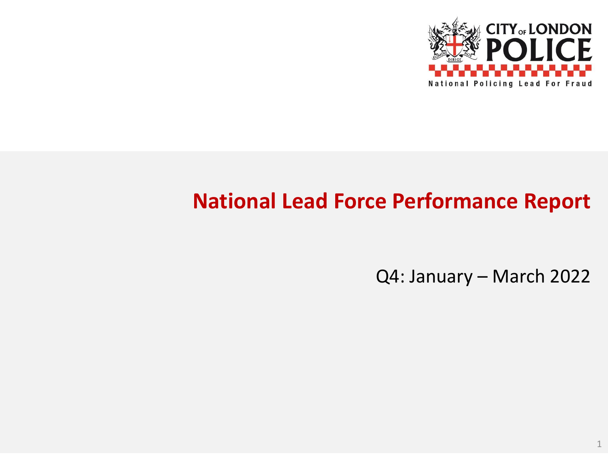

# **National Lead Force Performance Report**

Q4: January – March 2022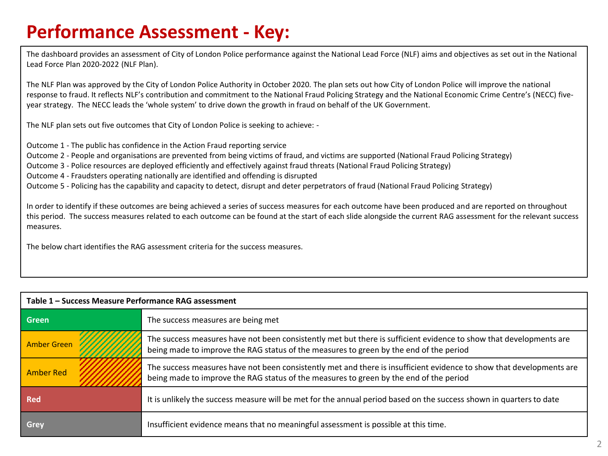## **Performance Assessment - Key:**

The dashboard provides an assessment of City of London Police performance against the National Lead Force (NLF) aims and objectives as set out in the National Lead Force Plan 2020-2022 (NLF Plan).

The NLF Plan was approved by the City of London Police Authority in October 2020. The plan sets out how City of London Police will improve the national response to fraud. It reflects NLF's contribution and commitment to the National Fraud Policing Strategy and the National Economic Crime Centre's (NECC) fiveyear strategy. The NECC leads the 'whole system' to drive down the growth in fraud on behalf of the UK Government.

The NLF plan sets out five outcomes that City of London Police is seeking to achieve: -

Outcome 1 - The public has confidence in the Action Fraud reporting service

Outcome 2 - People and organisations are prevented from being victims of fraud, and victims are supported (National Fraud Policing Strategy)

Outcome 3 - Police resources are deployed efficiently and effectively against fraud threats (National Fraud Policing Strategy)

Outcome 4 - Fraudsters operating nationally are identified and offending is disrupted

Outcome 5 - Policing has the capability and capacity to detect, disrupt and deter perpetrators of fraud (National Fraud Policing Strategy)

In order to identify if these outcomes are being achieved a series of success measures for each outcome have been produced and are reported on throughout this period. The success measures related to each outcome can be found at the start of each slide alongside the current RAG assessment for the relevant success measures.

The below chart identifies the RAG assessment criteria for the success measures.

| Table 1 - Success Measure Performance RAG assessment |                                                                                                                                                                                                                |  |
|------------------------------------------------------|----------------------------------------------------------------------------------------------------------------------------------------------------------------------------------------------------------------|--|
| Green                                                | The success measures are being met                                                                                                                                                                             |  |
| <b>Amber Green</b>                                   | The success measures have not been consistently met but there is sufficient evidence to show that developments are<br>being made to improve the RAG status of the measures to green by the end of the period   |  |
| <b>Amber Red</b>                                     | The success measures have not been consistently met and there is insufficient evidence to show that developments are<br>being made to improve the RAG status of the measures to green by the end of the period |  |
| <b>Red</b>                                           | It is unlikely the success measure will be met for the annual period based on the success shown in quarters to date                                                                                            |  |
| Grey                                                 | Insufficient evidence means that no meaningful assessment is possible at this time.                                                                                                                            |  |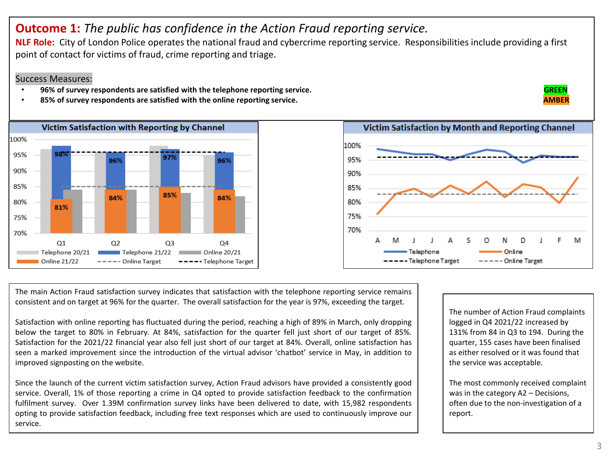## **Outcome 1:** *The public has confidence in the Action Fraud reporting service.*

**NLF Role:** City of London Police operates the national fraud and cybercrime reporting service. Responsibilities include providing a first point of contact for victims of fraud, crime reporting and triage.

#### Success Measures:

- **96% of survey respondents are satisfied with the telephone reporting service. GREEN**
- 85% of survey respondents are satisfied with the online reporting service. A sample of the state of the state of the state of the state of the state of the state of the state of the state of the state of the state of the s



The main Action Fraud satisfaction survey indicates that satisfaction with the telephone reporting service remains consistent and on target at 96% for the quarter. The overall satisfaction for the year is 97%, exceeding the target.

Satisfaction with online reporting has fluctuated during the period, reaching a high of 89% in March, only dropping below the target to 80% in February. At 84%, satisfaction for the quarter fell just short of our target of 85%. Satisfaction for the 2021/22 financial year also fell just short of our target at 84%. Overall, online satisfaction has seen a marked improvement since the introduction of the virtual advisor 'chatbot' service in May, in addition to improved signposting on the website.

Since the launch of the current victim satisfaction survey, Action Fraud advisors have provided a consistently good service. Overall, 1% of those reporting a crime in Q4 opted to provide satisfaction feedback to the confirmation fulfilment survey. Over 1.39M confirmation survey links have been delivered to date, with 15,982 respondents opting to provide satisfaction feedback, including free text responses which are used to continuously improve our service.

The number of Action Fraud complaints logged in Q4 2021/22 increased by 131% from 84 in Q3 to 194. During the quarter, 155 cases have been finalised as either resolved or it was found that the service was acceptable.

The most commonly received complaint was in the category A2 – Decisions, often due to the non-investigation of a report.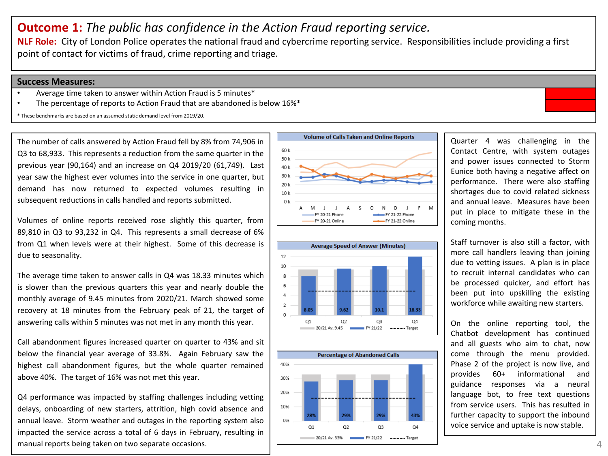## **Outcome 1:** *The public has confidence in the Action Fraud reporting service.*

**NLF Role:** City of London Police operates the national fraud and cybercrime reporting service. Responsibilities include providing a first point of contact for victims of fraud, crime reporting and triage.

#### **Success Measures:**

- Average time taken to answer within Action Fraud is 5 minutes\*
- The percentage of reports to Action Fraud that are abandoned is below 16%\*

\* These benchmarks are based on an assumed static demand level from 2019/20.

The number of calls answered by Action Fraud fell by 8% from 74,906 in Q3 to 68,933. This represents a reduction from the same quarter in the previous year (90,164) and an increase on Q4 2019/20 (61,749). Last year saw the highest ever volumes into the service in one quarter, but demand has now returned to expected volumes resulting in subsequent reductions in calls handled and reports submitted.

Volumes of online reports received rose slightly this quarter, from 89,810 in Q3 to 93,232 in Q4. This represents a small decrease of 6% from Q1 when levels were at their highest. Some of this decrease is due to seasonality.

The average time taken to answer calls in Q4 was 18.33 minutes which is slower than the previous quarters this year and nearly double the monthly average of 9.45 minutes from 2020/21. March showed some recovery at 18 minutes from the February peak of 21, the target of answering calls within 5 minutes was not met in any month this year.

Call abandonment figures increased quarter on quarter to 43% and sit below the financial year average of 33.8%. Again February saw the highest call abandonment figures, but the whole quarter remained above 40%. The target of 16% was not met this year.

Q4 performance was impacted by staffing challenges including vetting delays, onboarding of new starters, attrition, high covid absence and annual leave. Storm weather and outages in the reporting system also impacted the service across a total of 6 days in February, resulting in manual reports being taken on two separate occasions.







Quarter 4 was challenging in the Contact Centre, with system outages and power issues connected to Storm Eunice both having a negative affect on performance. There were also staffing shortages due to covid related sickness and annual leave. Measures have been put in place to mitigate these in the coming months.

Staff turnover is also still a factor, with more call handlers leaving than joining due to vetting issues. A plan is in place to recruit internal candidates who can be processed quicker, and effort has been put into upskilling the existing workforce while awaiting new starters.

On the online reporting tool, the Chatbot development has continued and all guests who aim to chat, now come through the menu provided. Phase 2 of the project is now live, and provides 60+ informational and guidance responses via a neural language bot, to free text questions from service users. This has resulted in further capacity to support the inbound voice service and uptake is now stable.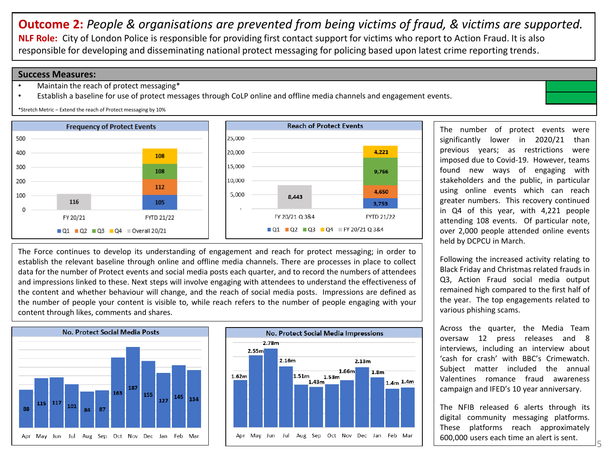**Outcome 2:** *People & organisations are prevented from being victims of fraud, & victims are supported.* **NLF Role:** City of London Police is responsible for providing first contact support for victims who report to Action Fraud. It is also responsible for developing and disseminating national protect messaging for policing based upon latest crime reporting trends.

#### **Success Measures:**

- Maintain the reach of protect messaging\*
- Establish a baseline for use of protect messages through CoLP online and offline media channels and engagement events.

\*Stretch Metric – Extend the reach of Protect messaging by 10%



The Force continues to develop its understanding of engagement and reach for protect messaging; in order to establish the relevant baseline through online and offline media channels. There are processes in place to collect data for the number of Protect events and social media posts each quarter, and to record the numbers of attendees and impressions linked to these. Next steps will involve engaging with attendees to understand the effectiveness of the content and whether behaviour will change, and the reach of social media posts. Impressions are defined as the number of people your content is visible to, while reach refers to the number of people engaging with your content through likes, comments and shares.





The number of protect events were significantly lower in 2020/21 than previous years; as restrictions were imposed due to Covid-19. However, teams found new ways of engaging with stakeholders and the public, in particular using online events which can reach greater numbers. This recovery continued in Q4 of this year, with 4,221 people attending 108 events. Of particular note, over 2,000 people attended online events held by DCPCU in March.

Following the increased activity relating to Black Friday and Christmas related frauds in Q3, Action Fraud social media output remained high compared to the first half of the year. The top engagements related to various phishing scams.

Across the quarter, the Media Team oversaw 12 press releases and 8 interviews, including an interview about 'cash for crash' with BBC's Crimewatch. Subject matter included the annual Valentines romance fraud awareness campaign and IFED's 10 year anniversary.

The NFIB released 6 alerts through its digital community messaging platforms. These platforms reach approximately 600,000 users each time an alert is sent.

5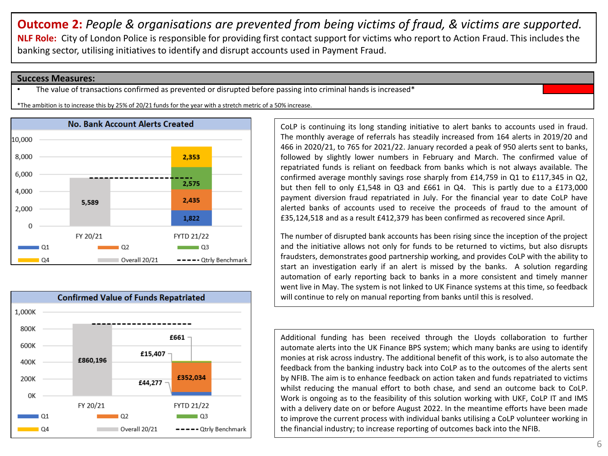**Outcome 2:** *People & organisations are prevented from being victims of fraud, & victims are supported.* **NLF Role:** City of London Police is responsible for providing first contact support for victims who report to Action Fraud. This includes the banking sector, utilising initiatives to identify and disrupt accounts used in Payment Fraud.

#### **Success Measures:**

The value of transactions confirmed as prevented or disrupted before passing into criminal hands is increased\*

\*The ambition is to increase this by 25% of 20/21 funds for the year with a stretch metric of a 50% increase.





CoLP is continuing its long standing initiative to alert banks to accounts used in fraud. The monthly average of referrals has steadily increased from 164 alerts in 2019/20 and 466 in 2020/21, to 765 for 2021/22. January recorded a peak of 950 alerts sent to banks, followed by slightly lower numbers in February and March. The confirmed value of repatriated funds is reliant on feedback from banks which is not always available. The confirmed average monthly savings rose sharply from £14,759 in Q1 to £117,345 in Q2, but then fell to only £1,548 in Q3 and £661 in Q4. This is partly due to a £173,000 payment diversion fraud repatriated in July. For the financial year to date CoLP have alerted banks of accounts used to receive the proceeds of fraud to the amount of £35,124,518 and as a result £412,379 has been confirmed as recovered since April.

The number of disrupted bank accounts has been rising since the inception of the project and the initiative allows not only for funds to be returned to victims, but also disrupts fraudsters, demonstrates good partnership working, and provides CoLP with the ability to start an investigation early if an alert is missed by the banks. A solution regarding automation of early reporting back to banks in a more consistent and timely manner went live in May. The system is not linked to UK Finance systems at this time, so feedback will continue to rely on manual reporting from banks until this is resolved.

Additional funding has been received through the Lloyds collaboration to further automate alerts into the UK Finance BPS system; which many banks are using to identify monies at risk across industry. The additional benefit of this work, is to also automate the feedback from the banking industry back into CoLP as to the outcomes of the alerts sent by NFIB. The aim is to enhance feedback on action taken and funds repatriated to victims whilst reducing the manual effort to both chase, and send an outcome back to CoLP. Work is ongoing as to the feasibility of this solution working with UKF, CoLP IT and IMS with a delivery date on or before August 2022. In the meantime efforts have been made to improve the current process with individual banks utilising a CoLP volunteer working in the financial industry; to increase reporting of outcomes back into the NFIB.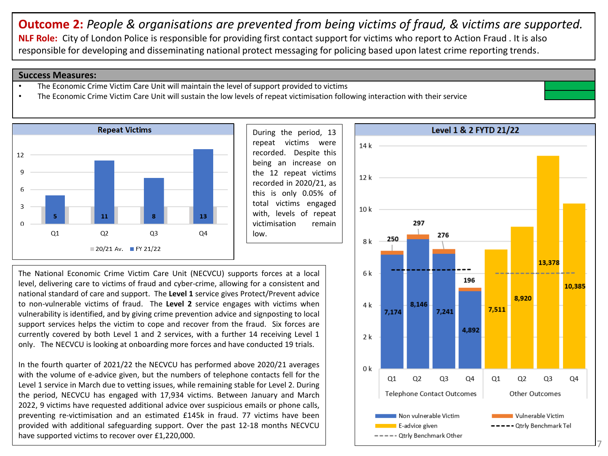**Outcome 2:** *People & organisations are prevented from being victims of fraud, & victims are supported.* **NLF Role:** City of London Police is responsible for providing first contact support for victims who report to Action Fraud . It is also responsible for developing and disseminating national protect messaging for policing based upon latest crime reporting trends.

#### **Success Measures:**

- The Economic Crime Victim Care Unit will maintain the level of support provided to victims
- The Economic Crime Victim Care Unit will sustain the low levels of repeat victimisation following interaction with their service



During the period, 13 repeat victims were recorded. Despite this being an increase on the 12 repeat victims recorded in 2020/21, as this is only 0.05% of total victims engaged with, levels of repeat victimisation remain low.

The National Economic Crime Victim Care Unit (NECVCU) supports forces at a local level, delivering care to victims of fraud and cyber-crime, allowing for a consistent and national standard of care and support. The **Level 1** service gives Protect/Prevent advice to non-vulnerable victims of fraud. The **Level 2** service engages with victims when vulnerability is identified, and by giving crime prevention advice and signposting to local support services helps the victim to cope and recover from the fraud. Six forces are currently covered by both Level 1 and 2 services, with a further 14 receiving Level 1 only. The NECVCU is looking at onboarding more forces and have conducted 19 trials.

In the fourth quarter of 2021/22 the NECVCU has performed above 2020/21 averages with the volume of e-advice given, but the numbers of telephone contacts fell for the Level 1 service in March due to vetting issues, while remaining stable for Level 2. During the period, NECVCU has engaged with 17,934 victims. Between January and March 2022, 9 victims have requested additional advice over suspicious emails or phone calls, preventing re-victimisation and an estimated £145k in fraud. 77 victims have been provided with additional safeguarding support. Over the past 12-18 months NECVCU have supported victims to recover over £1,220,000.

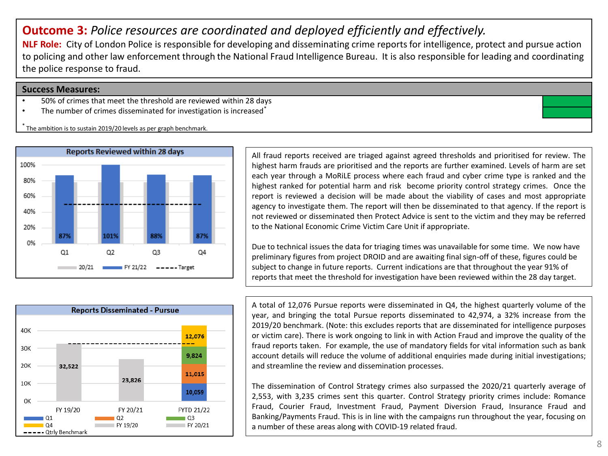## **Outcome 3:** *Police resources are coordinated and deployed efficiently and effectively.*

**NLF Role:** City of London Police is responsible for developing and disseminating crime reports for intelligence, protect and pursue action to policing and other law enforcement through the National Fraud Intelligence Bureau. It is also responsible for leading and coordinating the police response to fraud.

#### **Success Measures:**

- 50% of crimes that meet the threshold are reviewed within 28 days
- The number of crimes disseminated for investigation is increased<sup>\*</sup>

The ambition is to sustain 2019/20 levels as per graph benchmark.



All fraud reports received are triaged against agreed thresholds and prioritised for review. The highest harm frauds are prioritised and the reports are further examined. Levels of harm are set each year through a MoRiLE process where each fraud and cyber crime type is ranked and the highest ranked for potential harm and risk become priority control strategy crimes. Once the report is reviewed a decision will be made about the viability of cases and most appropriate agency to investigate them. The report will then be disseminated to that agency. If the report is not reviewed or disseminated then Protect Advice is sent to the victim and they may be referred to the National Economic Crime Victim Care Unit if appropriate.

Due to technical issues the data for triaging times was unavailable for some time. We now have preliminary figures from project DROID and are awaiting final sign-off of these, figures could be subject to change in future reports. Current indications are that throughout the year 91% of reports that meet the threshold for investigation have been reviewed within the 28 day target.



A total of 12,076 Pursue reports were disseminated in Q4, the highest quarterly volume of the year, and bringing the total Pursue reports disseminated to 42,974, a 32% increase from the 2019/20 benchmark. (Note: this excludes reports that are disseminated for intelligence purposes or victim care). There is work ongoing to link in with Action Fraud and improve the quality of the fraud reports taken. For example, the use of mandatory fields for vital information such as bank account details will reduce the volume of additional enquiries made during initial investigations; and streamline the review and dissemination processes.

The dissemination of Control Strategy crimes also surpassed the 2020/21 quarterly average of 2,553, with 3,235 crimes sent this quarter. Control Strategy priority crimes include: Romance Fraud, Courier Fraud, Investment Fraud, Payment Diversion Fraud, Insurance Fraud and Banking/Payments Fraud. This is in line with the campaigns run throughout the year, focusing on a number of these areas along with COVID-19 related fraud.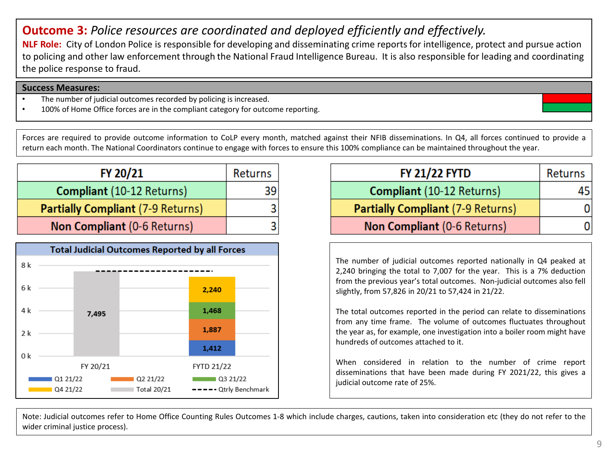## **Outcome 3:** *Police resources are coordinated and deployed efficiently and effectively.*

**NLF Role:** City of London Police is responsible for developing and disseminating crime reports for intelligence, protect and pursue action to policing and other law enforcement through the National Fraud Intelligence Bureau. It is also responsible for leading and coordinating the police response to fraud.

#### **Success Measures:**

- The number of judicial outcomes recorded by policing is increased.
- 100% of Home Office forces are in the compliant category for outcome reporting.

Forces are required to provide outcome information to CoLP every month, matched against their NFIB disseminations. In Q4, all forces continued to provide a return each month. The National Coordinators continue to engage with forces to ensure this 100% compliance can be maintained throughout the year.

| FY 20/21                                 | <b>Returns</b> |
|------------------------------------------|----------------|
| <b>Compliant</b> (10-12 Returns)         |                |
| <b>Partially Compliant (7-9 Returns)</b> |                |
| Non Compliant (0-6 Returns)              |                |



| <b>FY 21/22 FYTD</b>                     | Returns |
|------------------------------------------|---------|
| <b>Compliant</b> (10-12 Returns)         | 45      |
| <b>Partially Compliant (7-9 Returns)</b> | 0       |
| Non Compliant (0-6 Returns)              | 0       |

The number of judicial outcomes reported nationally in Q4 peaked at 2,240 bringing the total to 7,007 for the year. This is a 7% deduction from the previous year's total outcomes. Non-judicial outcomes also fell slightly, from 57,826 in 20/21 to 57,424 in 21/22.

The total outcomes reported in the period can relate to disseminations from any time frame. The volume of outcomes fluctuates throughout the year as, for example, one investigation into a boiler room might have hundreds of outcomes attached to it.

When considered in relation to the number of crime report disseminations that have been made during FY 2021/22, this gives a judicial outcome rate of 25%.

Note: Judicial outcomes refer to Home Office Counting Rules Outcomes 1-8 which include charges, cautions, taken into consideration etc (they do not refer to the wider criminal justice process).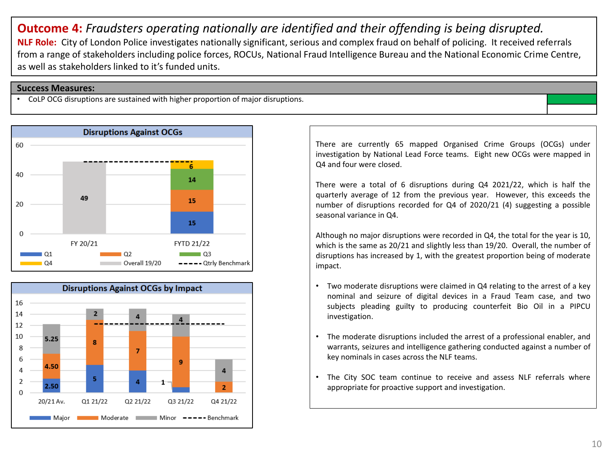**Outcome 4:** *Fraudsters operating nationally are identified and their offending is being disrupted.* **NLF Role:** City of London Police investigates nationally significant, serious and complex fraud on behalf of policing. It received referrals from a range of stakeholders including police forces, ROCUs, National Fraud Intelligence Bureau and the National Economic Crime Centre, as well as stakeholders linked to it's funded units.

#### **Success Measures:**

• CoLP OCG disruptions are sustained with higher proportion of major disruptions.





There are currently 65 mapped Organised Crime Groups (OCGs) under investigation by National Lead Force teams. Eight new OCGs were mapped in Q4 and four were closed.

There were a total of 6 disruptions during Q4 2021/22, which is half the quarterly average of 12 from the previous year. However, this exceeds the number of disruptions recorded for Q4 of 2020/21 (4) suggesting a possible seasonal variance in Q4.

Although no major disruptions were recorded in Q4, the total for the year is 10, which is the same as 20/21 and slightly less than 19/20. Overall, the number of disruptions has increased by 1, with the greatest proportion being of moderate impact.

- Two moderate disruptions were claimed in Q4 relating to the arrest of a key nominal and seizure of digital devices in a Fraud Team case, and two subjects pleading guilty to producing counterfeit Bio Oil in a PIPCU investigation.
- The moderate disruptions included the arrest of a professional enabler, and warrants, seizures and intelligence gathering conducted against a number of key nominals in cases across the NLF teams.
- The City SOC team continue to receive and assess NLF referrals where appropriate for proactive support and investigation.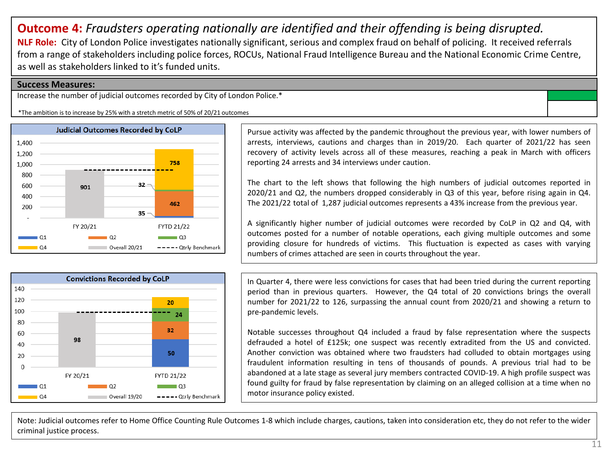## **Outcome 4:** *Fraudsters operating nationally are identified and their offending is being disrupted.* **NLF Role:** City of London Police investigates nationally significant, serious and complex fraud on behalf of policing. It received referrals from a range of stakeholders including police forces, ROCUs, National Fraud Intelligence Bureau and the National Economic Crime Centre, as well as stakeholders linked to it's funded units.

#### **Success Measures:**

Increase the number of judicial outcomes recorded by City of London Police.\*

\*The ambition is to increase by 25% with a stretch metric of 50% of 20/21 outcomes



Pursue activity was affected by the pandemic throughout the previous year, with lower numbers of arrests, interviews, cautions and charges than in 2019/20. Each quarter of 2021/22 has seen recovery of activity levels across all of these measures, reaching a peak in March with officers reporting 24 arrests and 34 interviews under caution.

The chart to the left shows that following the high numbers of judicial outcomes reported in 2020/21 and Q2, the numbers dropped considerably in Q3 of this year, before rising again in Q4. The 2021/22 total of 1,287 judicial outcomes represents a 43% increase from the previous year.

A significantly higher number of judicial outcomes were recorded by CoLP in Q2 and Q4, with outcomes posted for a number of notable operations, each giving multiple outcomes and some providing closure for hundreds of victims. This fluctuation is expected as cases with varying numbers of crimes attached are seen in courts throughout the year.



In Quarter 4, there were less convictions for cases that had been tried during the current reporting period than in previous quarters. However, the Q4 total of 20 convictions brings the overall number for 2021/22 to 126, surpassing the annual count from 2020/21 and showing a return to pre-pandemic levels.

Notable successes throughout Q4 included a fraud by false representation where the suspects defrauded a hotel of £125k; one suspect was recently extradited from the US and convicted. Another conviction was obtained where two fraudsters had colluded to obtain mortgages using fraudulent information resulting in tens of thousands of pounds. A previous trial had to be abandoned at a late stage as several jury members contracted COVID-19. A high profile suspect was found guilty for fraud by false representation by claiming on an alleged collision at a time when no motor insurance policy existed.

Note: Judicial outcomes refer to Home Office Counting Rule Outcomes 1-8 which include charges, cautions, taken into consideration etc, they do not refer to the wider criminal justice process.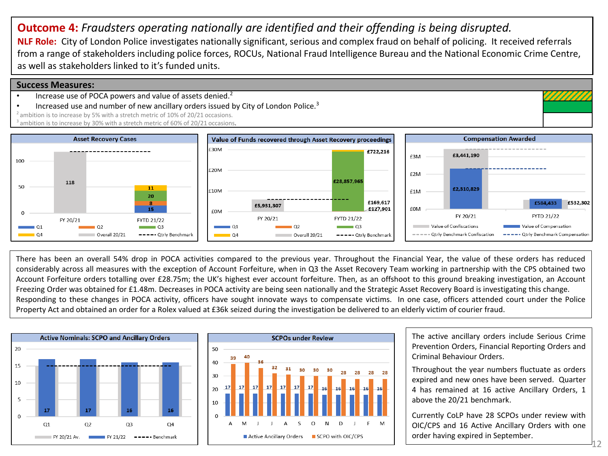## **Outcome 4:** *Fraudsters operating nationally are identified and their offending is being disrupted.*

**NLF Role:** City of London Police investigates nationally significant, serious and complex fraud on behalf of policing. It received referrals from a range of stakeholders including police forces, ROCUs, National Fraud Intelligence Bureau and the National Economic Crime Centre, as well as stakeholders linked to it's funded units.

#### **Success Measures:**

- Increase use of POCA powers and value of assets denied. $2$
- Increased use and number of new ancillary orders issued by City of London Police.<sup>3</sup>
- $2$  ambition is to increase by 5% with a stretch metric of 10% of 20/21 occasions.

ambition is to increase by 30% with a stretch metric of 60% of 20/21 occasions.



There has been an overall 54% drop in POCA activities compared to the previous year. Throughout the Financial Year, the value of these orders has reduced considerably across all measures with the exception of Account Forfeiture, when in Q3 the Asset Recovery Team working in partnership with the CPS obtained two Account Forfeiture orders totalling over £28.75m; the UK's highest ever account forfeiture. Then, as an offshoot to this ground breaking investigation, an Account Freezing Order was obtained for £1.48m. Decreases in POCA activity are being seen nationally and the Strategic Asset Recovery Board is investigating this change. Responding to these changes in POCA activity, officers have sought innovate ways to compensate victims. In one case, officers attended court under the Police Property Act and obtained an order for a Rolex valued at £36k seized during the investigation be delivered to an elderly victim of courier fraud.





The active ancillary orders include Serious Crime Prevention Orders, Financial Reporting Orders and Criminal Behaviour Orders.

Throughout the year numbers fluctuate as orders expired and new ones have been served. Quarter 4 has remained at 16 active Ancillary Orders, 1 above the 20/21 benchmark.

Currently CoLP have 28 SCPOs under review with OIC/CPS and 16 Active Ancillary Orders with one order having expired in September.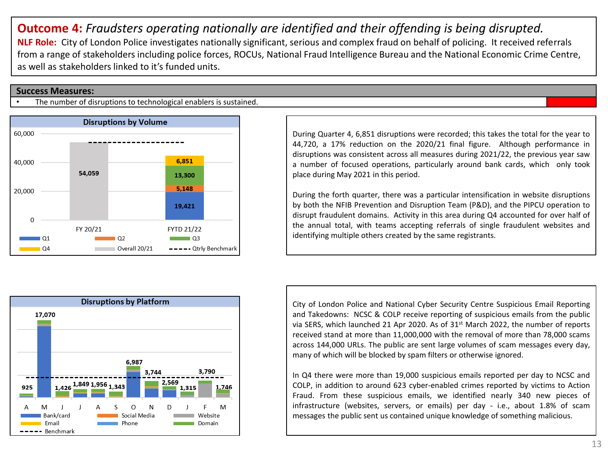## **Outcome 4:** *Fraudsters operating nationally are identified and their offending is being disrupted.* **NLF Role:** City of London Police investigates nationally significant, serious and complex fraud on behalf of policing. It received referrals from a range of stakeholders including police forces, ROCUs, National Fraud Intelligence Bureau and the National Economic Crime Centre, as well as stakeholders linked to it's funded units.

#### **Success Measures:**

The number of disruptions to technological enablers is sustained.





During the forth quarter, there was a particular intensification in website disruptions by both the NFIB Prevention and Disruption Team (P&D), and the PIPCU operation to disrupt fraudulent domains. Activity in this area during Q4 accounted for over half of the annual total, with teams accepting referrals of single fraudulent websites and identifying multiple others created by the same registrants.



City of London Police and National Cyber Security Centre Suspicious Email Reporting and Takedowns: NCSC & COLP receive reporting of suspicious emails from the public via SERS, which launched 21 Apr 2020. As of 31st March 2022, the number of reports received stand at more than 11,000,000 with the removal of more than 78,000 scams across 144,000 URLs. The public are sent large volumes of scam messages every day, many of which will be blocked by spam filters or otherwise ignored.

In Q4 there were more than 19,000 suspicious emails reported per day to NCSC and COLP, in addition to around 623 cyber-enabled crimes reported by victims to Action Fraud. From these suspicious emails, we identified nearly 340 new pieces of infrastructure (websites, servers, or emails) per day - i.e., about 1.8% of scam messages the public sent us contained unique knowledge of something malicious.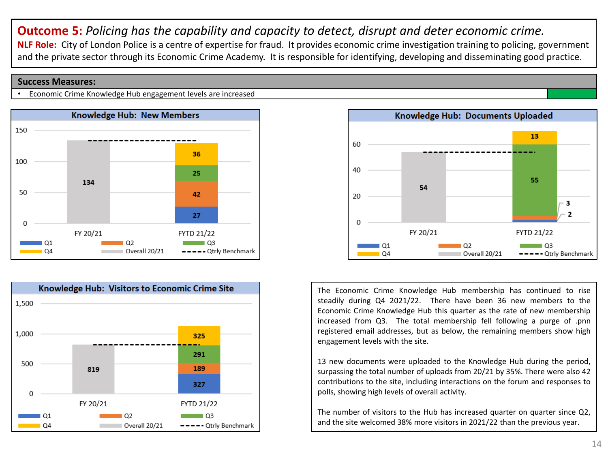**Outcome 5:** *Policing has the capability and capacity to detect, disrupt and deter economic crime.* **NLF Role:** City of London Police is a centre of expertise for fraud. It provides economic crime investigation training to policing, government and the private sector through its Economic Crime Academy. It is responsible for identifying, developing and disseminating good practice.

#### **Success Measures:**

• Economic Crime Knowledge Hub engagement levels are increased







The Economic Crime Knowledge Hub membership has continued to rise steadily during Q4 2021/22. There have been 36 new members to the Economic Crime Knowledge Hub this quarter as the rate of new membership increased from Q3. The total membership fell following a purge of .pnn registered email addresses, but as below, the remaining members show high engagement levels with the site.

13 new documents were uploaded to the Knowledge Hub during the period, surpassing the total number of uploads from 20/21 by 35%. There were also 42 contributions to the site, including interactions on the forum and responses to polls, showing high levels of overall activity.

The number of visitors to the Hub has increased quarter on quarter since Q2, and the site welcomed 38% more visitors in 2021/22 than the previous year.